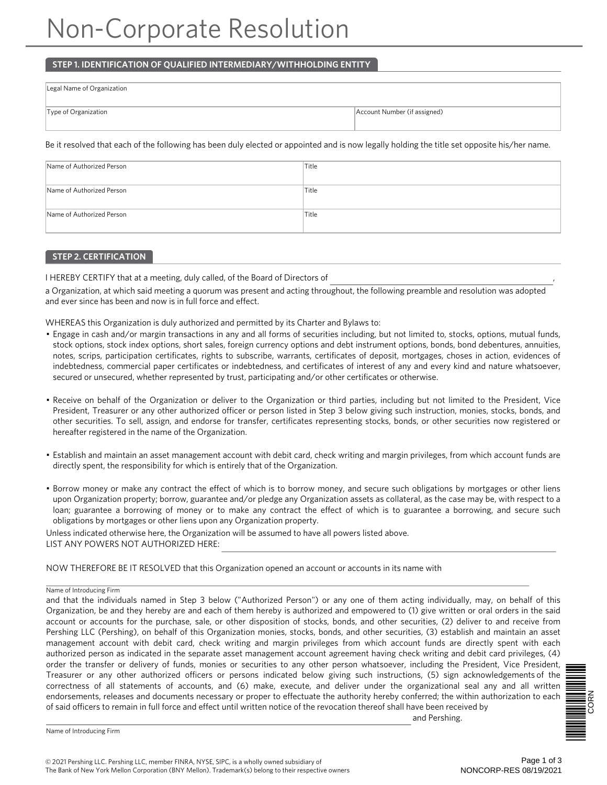# Non-Corporate Resolution

## **STEP 1. IDENTIFICATION OF QUALIFIED INTERMEDIARY/WITHHOLDING ENTITY**

| Legal Name of Organization |                              |
|----------------------------|------------------------------|
| Type of Organization       | Account Number (if assigned) |

Be it resolved that each of the following has been duly elected or appointed and is now legally holding the title set opposite his/her name.

| Name of Authorized Person | 'Title |
|---------------------------|--------|
| Name of Authorized Person | 'Title |
| Name of Authorized Person | 'Title |

## **STEP 2. CERTIFICATION**

I HEREBY CERTIFY that at a meeting, duly called, of the Board of Directors of ,

a Organization, at which said meeting a quorum was present and acting throughout, the following preamble and resolution was adopted and ever since has been and now is in full force and effect.

WHEREAS this Organization is duly authorized and permitted by its Charter and Bylaws to:

- Engage in cash and/or margin transactions in any and all forms of securities including, but not limited to, stocks, options, mutual funds, stock options, stock index options, short sales, foreign currency options and debt instrument options, bonds, bond debentures, annuities, notes, scrips, participation certificates, rights to subscribe, warrants, certificates of deposit, mortgages, choses in action, evidences of indebtedness, commercial paper certificates or indebtedness, and certificates of interest of any and every kind and nature whatsoever, secured or unsecured, whether represented by trust, participating and/or other certificates or otherwise.
- Receive on behalf of the Organization or deliver to the Organization or third parties, including but not limited to the President, Vice President, Treasurer or any other authorized officer or person listed in Step 3 below giving such instruction, monies, stocks, bonds, and other securities. To sell, assign, and endorse for transfer, certificates representing stocks, bonds, or other securities now registered or hereafter registered in the name of the Organization.
- Establish and maintain an asset management account with debit card, check writing and margin privileges, from which account funds are directly spent, the responsibility for which is entirely that of the Organization.
- Borrow money or make any contract the effect of which is to borrow money, and secure such obligations by mortgages or other liens upon Organization property; borrow, guarantee and/or pledge any Organization assets as collateral, as the case may be, with respect to a loan; guarantee a borrowing of money or to make any contract the effect of which is to guarantee a borrowing, and secure such obligations by mortgages or other liens upon any Organization property.

Unless indicated otherwise here, the Organization will be assumed to have all powers listed above. LIST ANY POWERS NOT AUTHORIZED HERE:

NOW THEREFORE BE IT RESOLVED that this Organization opened an account or accounts in its name with

### Name of Introducing Firm

and that the individuals named in Step 3 below ("Authorized Person") or any one of them acting individually, may, on behalf of this Organization, be and they hereby are and each of them hereby is authorized and empowered to (1) give written or oral orders in the said account or accounts for the purchase, sale, or other disposition of stocks, bonds, and other securities, (2) deliver to and receive from Pershing LLC (Pershing), on behalf of this Organization monies, stocks, bonds, and other securities, (3) establish and maintain an asset management account with debit card, check writing and margin privileges from which account funds are directly spent with each authorized person as indicated in the separate asset management account agreement having check writing and debit card privileges, (4) order the transfer or delivery of funds, monies or securities to any other person whatsoever, including the President, Vice President, Treasurer or any other authorized officers or persons indicated below giving such instructions, (5) sign acknowledgements of the correctness of all statements of accounts, and (6) make, execute, and deliver under the organizational seal any and all written endorsements, releases and documents necessary or proper to effectuate the authority hereby conferred; the within authorization to each of said officers to remain in full force and effect until written notice of the revocation thereof shall have been received by

and Pershing.



Name of Introducing Firm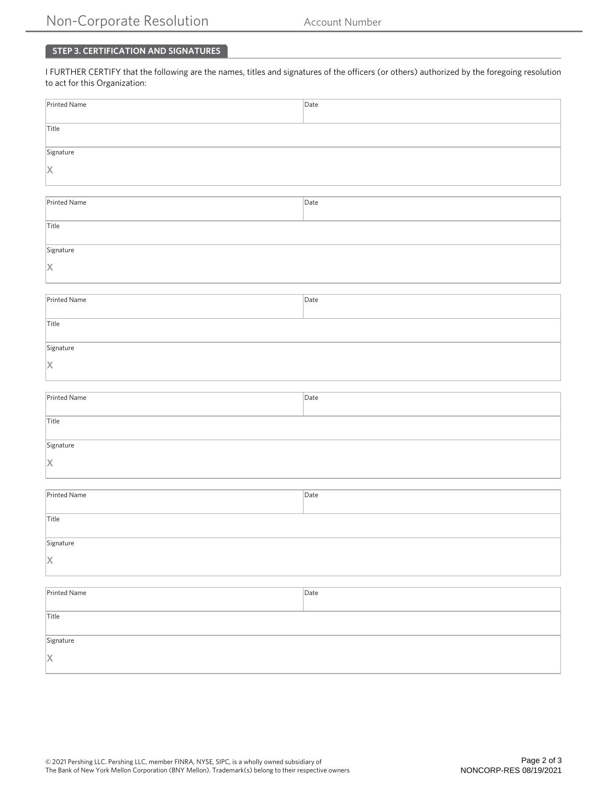## **STEP 3. CERTIFICATION AND SIGNATURES**

I FURTHER CERTIFY that the following are the names, titles and signatures of the officers (or others) authorized by the foregoing resolution to act for this Organization:

| Printed Name                    | Date |  |
|---------------------------------|------|--|
| Title                           |      |  |
|                                 |      |  |
| Signature                       |      |  |
| X                               |      |  |
|                                 |      |  |
| $\boxed{\mathsf{Printed Name}}$ | Date |  |
|                                 |      |  |
| Title                           |      |  |
| Signature                       |      |  |
| X                               |      |  |
|                                 |      |  |
| Printed Name                    | Date |  |
|                                 |      |  |
| Title                           |      |  |
| Signature                       |      |  |
| X                               |      |  |
|                                 |      |  |
| Printed Name                    | Date |  |
|                                 |      |  |
| Title                           |      |  |
| Signature                       |      |  |
| X                               |      |  |
|                                 |      |  |
| Printed Name                    | Date |  |
|                                 |      |  |
| Title                           |      |  |
| Signature                       |      |  |
| X                               |      |  |
|                                 |      |  |
| Printed Name                    | Date |  |
|                                 |      |  |
| Title                           |      |  |
| Signature                       |      |  |
| X                               |      |  |
|                                 |      |  |